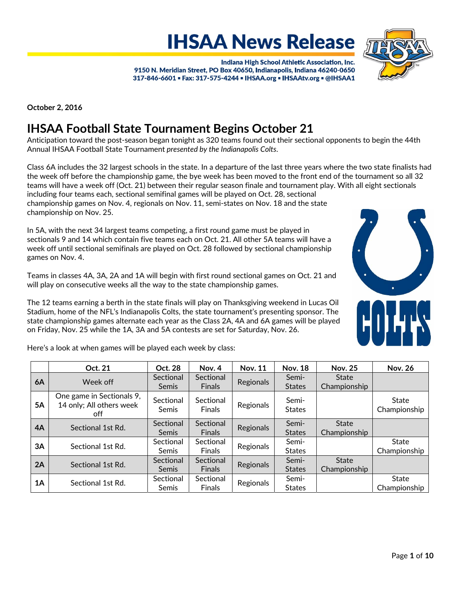Indiana High School Athletic Association, Inc. 9150 N. Meridian Street, PO Box 40650, Indianapolis, Indiana 46240-0650 317-846-6601 = Fax: 317-575-4244 = IHSAA.org = IHSAAtv.org = @IHSAA1

**IHSAA News Release** 

**October 2, 2016**

# **IHSAA Football State Tournament Begins October 21**

Anticipation toward the post‐season began tonight as 320 teams found out their sectional opponents to begin the 44th Annual IHSAA Football State Tournament *presented by the Indianapolis Colts*.

Class 6A includes the 32 largest schools in the state. In a departure of the last three years where the two state finalists had the week off before the championship game, the bye week has been moved to the front end of the tournament so all 32 teams will have a week off (Oct. 21) between their regular season finale and tournament play. With all eight sectionals including four teams each, sectional semifinal games will be played on Oct. 28, sectional

championship games on Nov. 4, regionals on Nov. 11, semi‐states on Nov. 18 and the state championship on Nov. 25.

In 5A, with the next 34 largest teams competing, a first round game must be played in sectionals 9 and 14 which contain five teams each on Oct. 21. All other 5A teams will have a week off until sectional semifinals are played on Oct. 28 followed by sectional championship games on Nov. 4.

Teams in classes 4A, 3A, 2A and 1A will begin with first round sectional games on Oct. 21 and will play on consecutive weeks all the way to the state championship games.

The 12 teams earning a berth in the state finals will play on Thanksgiving weekend in Lucas Oil Stadium, home of the NFL's Indianapolis Colts, the state tournament's presenting sponsor. The state championship games alternate each year as the Class 2A, 4A and 6A games will be played on Friday, Nov. 25 while the 1A, 3A and 5A contests are set for Saturday, Nov. 26.

Here's a look at when games will be played each week by class:

|           | Oct. 21                                                      | Oct. 28                   | Nov. 4                     | <b>Nov. 11</b> | <b>Nov. 18</b>         | <b>Nov. 25</b>               | <b>Nov. 26</b>        |
|-----------|--------------------------------------------------------------|---------------------------|----------------------------|----------------|------------------------|------------------------------|-----------------------|
| 6A        | Week off                                                     | Sectional<br>Semis        | Sectional<br><b>Finals</b> | Regionals      | Semi-<br><b>States</b> | <b>State</b><br>Championship |                       |
| <b>5A</b> | One game in Sectionals 9,<br>14 only; All others week<br>off | Sectional<br><b>Semis</b> | Sectional<br><b>Finals</b> | Regionals      | Semi-<br><b>States</b> |                              | State<br>Championship |
| 4A        | Sectional 1st Rd.                                            | Sectional<br>Semis        | Sectional<br><b>Finals</b> | Regionals      | Semi-<br><b>States</b> | <b>State</b><br>Championship |                       |
| 3A        | Sectional 1st Rd.                                            | Sectional<br><b>Semis</b> | Sectional<br><b>Finals</b> | Regionals      | Semi-<br><b>States</b> |                              | State<br>Championship |
| 2A        | Sectional 1st Rd.                                            | Sectional<br>Semis        | Sectional<br><b>Finals</b> | Regionals      | Semi-<br><b>States</b> | <b>State</b><br>Championship |                       |
| 1A        | Sectional 1st Rd.                                            | Sectional<br>Semis        | Sectional<br><b>Finals</b> | Regionals      | Semi-<br><b>States</b> |                              | State<br>Championship |



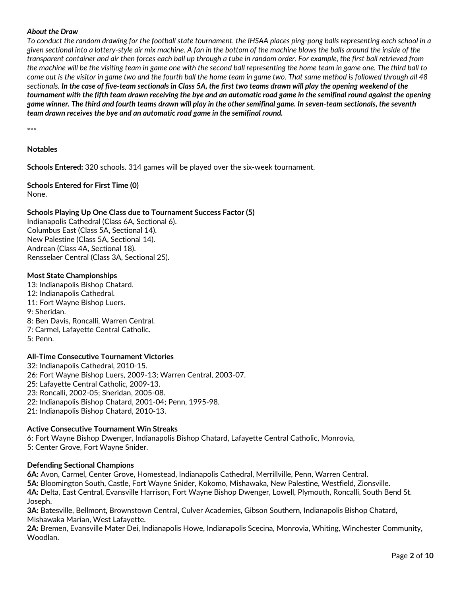## *About the Draw*

*To conduct the random drawing for the football state tournament, the IHSAA places ping-pong balls representing each school in a given sectional into a lottery-style air mix machine. A fan in the bottom of the machine blows the balls around the inside of the transparent container and air then forces each ball up through a tube in random order. For example, the first ball retrieved from the machine will be the visiting team in game one with the second ball representing the home team in game one. The third ball to come out is the visitor in game two and the fourth ball the home team in game two. That same method is followed through all 48*  sectionals. In the case of five-team sectionals in Class 5A, the first two teams drawn will play the opening weekend of the tournament with the fifth team drawn receiving the bye and an automatic road game in the semifinal round against the opening game winner. The third and fourth teams drawn will play in the other semifinal game. In seven-team sectionals, the seventh *team drawn receives the bye and an automatic road game in the semifinal round.*

\*\*\*

## **Notables**

**Schools Entered:** 320 schools. 314 games will be played over the six-week tournament.

## **Schools Entered for First Time (0)** None.

## **Schools Playing Up One Class due to Tournament Success Factor (5)**

Indianapolis Cathedral (Class 6A, Sectional 6). Columbus East (Class 5A, Sectional 14). New Palestine (Class 5A, Sectional 14). Andrean (Class 4A, Sectional 18). Rensselaer Central (Class 3A, Sectional 25).

### **Most State Championships**

13: Indianapolis Bishop Chatard. 12: Indianapolis Cathedral. 11: Fort Wayne Bishop Luers. 9: Sheridan. 8: Ben Davis, Roncalli, Warren Central. 7: Carmel, Lafayette Central Catholic. 5: Penn.

### **All‐Time Consecutive Tournament Victories**

32: Indianapolis Cathedral, 2010‐15. 26: Fort Wayne Bishop Luers, 2009‐13; Warren Central, 2003‐07. 25: Lafayette Central Catholic, 2009‐13. 23: Roncalli, 2002‐05; Sheridan, 2005‐08. 22: Indianapolis Bishop Chatard, 2001‐04; Penn, 1995‐98. 21: Indianapolis Bishop Chatard, 2010‐13.

### **Active Consecutive Tournament Win Streaks**

6: Fort Wayne Bishop Dwenger, Indianapolis Bishop Chatard, Lafayette Central Catholic, Monrovia, 5: Center Grove, Fort Wayne Snider.

### **Defending Sectional Champions**

**6A:** Avon, Carmel, Center Grove, Homestead, Indianapolis Cathedral, Merrillville, Penn, Warren Central. **5A:** Bloomington South, Castle, Fort Wayne Snider, Kokomo, Mishawaka, New Palestine, Westfield, Zionsville. **4A:** Delta, East Central, Evansville Harrison, Fort Wayne Bishop Dwenger, Lowell, Plymouth, Roncalli, South Bend St. Joseph.

**3A:** Batesville, Bellmont, Brownstown Central, Culver Academies, Gibson Southern, Indianapolis Bishop Chatard, Mishawaka Marian, West Lafayette.

**2A:** Bremen, Evansville Mater Dei, Indianapolis Howe, Indianapolis Scecina, Monrovia, Whiting, Winchester Community, Woodlan.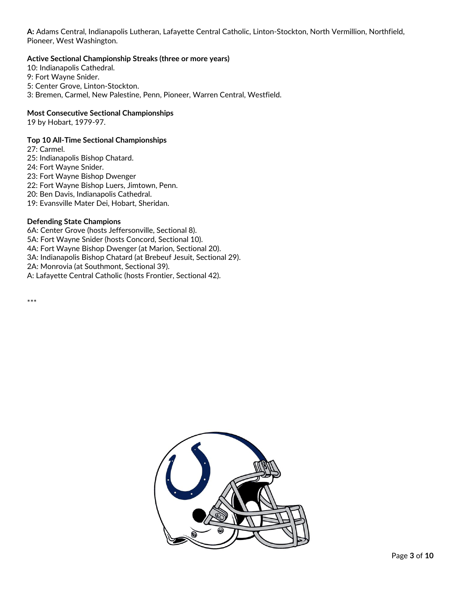**A:** Adams Central, Indianapolis Lutheran, Lafayette Central Catholic, Linton‐Stockton, North Vermillion, Northfield, Pioneer, West Washington.

## **Active Sectional Championship Streaks (three or more years)**

10: Indianapolis Cathedral. 9: Fort Wayne Snider. 5: Center Grove, Linton‐Stockton. 3: Bremen, Carmel, New Palestine, Penn, Pioneer, Warren Central, Westfield.

## **Most Consecutive Sectional Championships**

19 by Hobart, 1979‐97.

## **Top 10 All‐Time Sectional Championships**

27: Carmel.

25: Indianapolis Bishop Chatard.

24: Fort Wayne Snider.

23: Fort Wayne Bishop Dwenger

22: Fort Wayne Bishop Luers, Jimtown, Penn.

20: Ben Davis, Indianapolis Cathedral.

19: Evansville Mater Dei, Hobart, Sheridan.

## **Defending State Champions**

6A: Center Grove (hosts Jeffersonville, Sectional 8).

5A: Fort Wayne Snider (hosts Concord, Sectional 10).

4A: Fort Wayne Bishop Dwenger (at Marion, Sectional 20).

3A: Indianapolis Bishop Chatard (at Brebeuf Jesuit, Sectional 29).

2A: Monrovia (at Southmont, Sectional 39).

A: Lafayette Central Catholic (hosts Frontier, Sectional 42).

\*\*\*

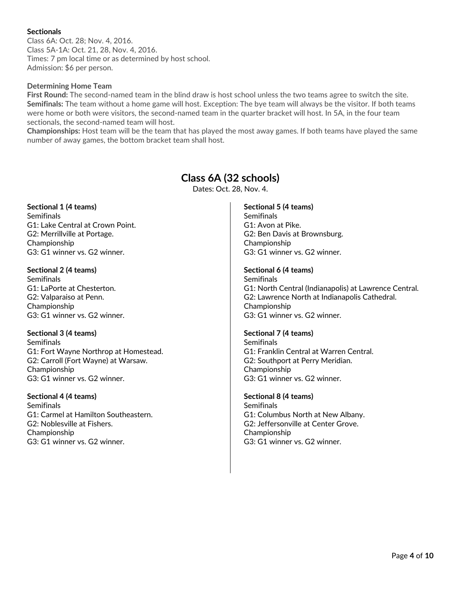## **Sectionals**

Class 6A: Oct. 28; Nov. 4, 2016. Class 5A‐1A: Oct. 21, 28, Nov. 4, 2016. Times: 7 pm local time or as determined by host school. Admission: \$6 per person.

## **Determining Home Team**

**First Round:** The second-named team in the blind draw is host school unless the two teams agree to switch the site. **Semifinals:** The team without a home game will host. Exception: The bye team will always be the visitor. If both teams were home or both were visitors, the second-named team in the quarter bracket will host. In 5A, in the four team sectionals, the second‐named team will host.

**Championships:** Host team will be the team that has played the most away games. If both teams have played the same number of away games, the bottom bracket team shall host.

## **Class 6A (32 schools)**

Dates: Oct. 28, Nov. 4.

**Sectional 1 (4 teams) Semifinals** G1: Lake Central at Crown Point. G2: Merrillville at Portage. Championship G3: G1 winner vs. G2 winner.

**Sectional 2 (4 teams) Semifinals** G1: LaPorte at Chesterton. G2: Valparaiso at Penn. Championship G3: G1 winner vs. G2 winner.

## **Sectional 3 (4 teams)**

**Semifinals** G1: Fort Wayne Northrop at Homestead. G2: Carroll (Fort Wayne) at Warsaw. Championship G3: G1 winner vs. G2 winner.

**Sectional 4 (4 teams) Semifinals** G1: Carmel at Hamilton Southeastern. G2: Noblesville at Fishers. Championship G3: G1 winner vs. G2 winner.

## **Sectional 5 (4 teams)**

**Semifinals** G1: Avon at Pike. G2: Ben Davis at Brownsburg. Championship G3: G1 winner vs. G2 winner.

## **Sectional 6 (4 teams)**

**Semifinals** G1: North Central (Indianapolis) at Lawrence Central. G2: Lawrence North at Indianapolis Cathedral. Championship G3: G1 winner vs. G2 winner.

### **Sectional 7 (4 teams)**

**Semifinals** G1: Franklin Central at Warren Central. G2: Southport at Perry Meridian. Championship G3: G1 winner vs. G2 winner.

**Sectional 8 (4 teams) Semifinals** G1: Columbus North at New Albany. G2: Jeffersonville at Center Grove. Championship G3: G1 winner vs. G2 winner.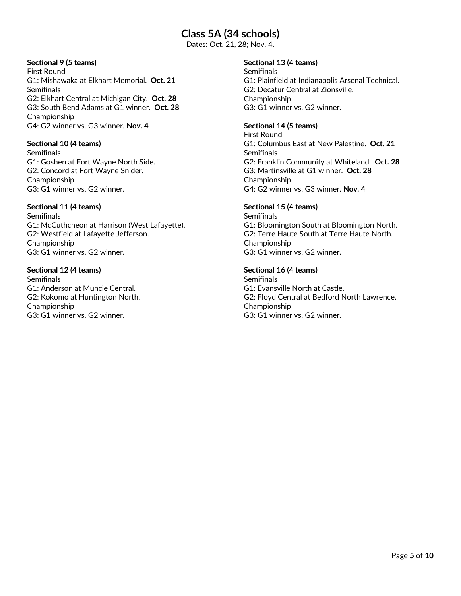## **Class 5A (34 schools)**

Dates: Oct. 21, 28; Nov. 4.

## **Sectional 9 (5 teams)**

First Round G1: Mishawaka at Elkhart Memorial. **Oct. 21** Semifinals G2: Elkhart Central at Michigan City. **Oct. 28** G3: South Bend Adams at G1 winner. **Oct. 28** Championship G4: G2 winner vs. G3 winner. **Nov. 4**

## **Sectional 10 (4 teams)**

**Semifinals** G1: Goshen at Fort Wayne North Side. G2: Concord at Fort Wayne Snider. Championship G3: G1 winner vs. G2 winner.

## **Sectional 11 (4 teams)**

**Semifinals** G1: McCuthcheon at Harrison (West Lafayette). G2: Westfield at Lafayette Jefferson. Championship G3: G1 winner vs. G2 winner.

**Sectional 12 (4 teams) Semifinals** G1: Anderson at Muncie Central. G2: Kokomo at Huntington North. Championship G3: G1 winner vs. G2 winner.

## **Sectional 13 (4 teams)**

**Semifinals** G1: Plainfield at Indianapolis Arsenal Technical. G2: Decatur Central at Zionsville. Championship G3: G1 winner vs. G2 winner.

## **Sectional 14 (5 teams)**

First Round G1: Columbus East at New Palestine. **Oct. 21 Semifinals** G2: Franklin Community at Whiteland. **Oct. 28** G3: Martinsville at G1 winner. **Oct. 28** Championship G4: G2 winner vs. G3 winner. **Nov. 4**

## **Sectional 15 (4 teams)**

**Semifinals** G1: Bloomington South at Bloomington North. G2: Terre Haute South at Terre Haute North. Championship G3: G1 winner vs. G2 winner.

## **Sectional 16 (4 teams)**

**Semifinals** G1: Evansville North at Castle. G2: Floyd Central at Bedford North Lawrence. Championship G3: G1 winner vs. G2 winner.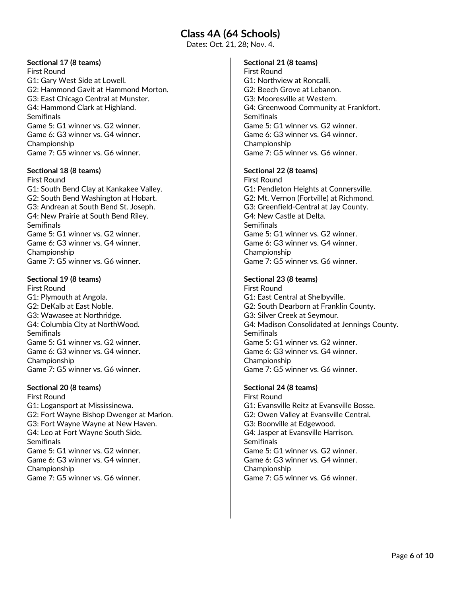## **Class 4A (64 Schools)**

Dates: Oct. 21, 28; Nov. 4.

## **Sectional 17 (8 teams)**

First Round G1: Gary West Side at Lowell. G2: Hammond Gavit at Hammond Morton. G3: East Chicago Central at Munster. G4: Hammond Clark at Highland. Semifinals Game 5: G1 winner vs. G2 winner. Game 6: G3 winner vs. G4 winner. Championship Game 7: G5 winner vs. G6 winner.

### **Sectional 18 (8 teams)**

First Round G1: South Bend Clay at Kankakee Valley. G2: South Bend Washington at Hobart. G3: Andrean at South Bend St. Joseph. G4: New Prairie at South Bend Riley. **Semifinals** Game 5: G1 winner vs. G2 winner. Game 6: G3 winner vs. G4 winner. Championship Game 7: G5 winner vs. G6 winner.

### **Sectional 19 (8 teams)**

First Round G1: Plymouth at Angola. G2: DeKalb at East Noble. G3: Wawasee at Northridge. G4: Columbia City at NorthWood. **Semifinals** Game 5: G1 winner vs. G2 winner. Game 6: G3 winner vs. G4 winner. Championship Game 7: G5 winner vs. G6 winner.

### **Sectional 20 (8 teams)**

First Round G1: Logansport at Mississinewa. G2: Fort Wayne Bishop Dwenger at Marion. G3: Fort Wayne Wayne at New Haven. G4: Leo at Fort Wayne South Side. **Semifinals** Game 5: G1 winner vs. G2 winner. Game 6: G3 winner vs. G4 winner. Championship Game 7: G5 winner vs. G6 winner.

### **Sectional 21 (8 teams)**

First Round G1: Northview at Roncalli. G2: Beech Grove at Lebanon. G3: Mooresville at Western. G4: Greenwood Community at Frankfort. **Semifinals** Game 5: G1 winner vs. G2 winner. Game 6: G3 winner vs. G4 winner. Championship Game 7: G5 winner vs. G6 winner.

### **Sectional 22 (8 teams)**

First Round G1: Pendleton Heights at Connersville. G2: Mt. Vernon (Fortville) at Richmond. G3: Greenfield‐Central at Jay County. G4: New Castle at Delta. **Semifinals** Game 5: G1 winner vs. G2 winner. Game 6: G3 winner vs. G4 winner. Championship Game 7: G5 winner vs. G6 winner.

### **Sectional 23 (8 teams)**

First Round G1: East Central at Shelbyville. G2: South Dearborn at Franklin County. G3: Silver Creek at Seymour. G4: Madison Consolidated at Jennings County. Semifinals Game 5: G1 winner vs. G2 winner. Game 6: G3 winner vs. G4 winner. Championship Game 7: G5 winner vs. G6 winner.

## **Sectional 24 (8 teams)**

First Round G1: Evansville Reitz at Evansville Bosse. G2: Owen Valley at Evansville Central. G3: Boonville at Edgewood. G4: Jasper at Evansville Harrison. **Semifinals** Game 5: G1 winner vs. G2 winner. Game 6: G3 winner vs. G4 winner. Championship Game 7: G5 winner vs. G6 winner.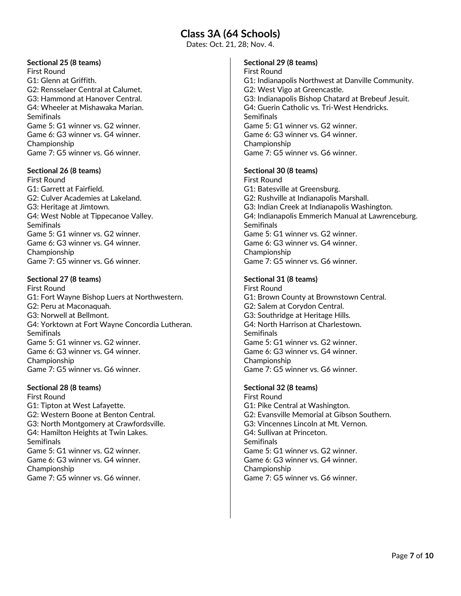## **Class 3A (64 Schools)**

Dates: Oct. 21, 28; Nov. 4.

## **Sectional 25 (8 teams)**

First Round G1: Glenn at Griffith. G2: Rensselaer Central at Calumet. G3: Hammond at Hanover Central. G4: Wheeler at Mishawaka Marian. **Semifinals** Game 5: G1 winner vs. G2 winner. Game 6: G3 winner vs. G4 winner. Championship Game 7: G5 winner vs. G6 winner.

## **Sectional 26 (8 teams)**

First Round G1: Garrett at Fairfield. G2: Culver Academies at Lakeland. G3: Heritage at Jimtown. G4: West Noble at Tippecanoe Valley. **Semifinals** Game 5: G1 winner vs. G2 winner. Game 6: G3 winner vs. G4 winner. Championship Game 7: G5 winner vs. G6 winner.

## **Sectional 27 (8 teams)**

First Round G1: Fort Wayne Bishop Luers at Northwestern. G2: Peru at Maconaquah. G3: Norwell at Bellmont. G4: Yorktown at Fort Wayne Concordia Lutheran. **Semifinals** Game 5: G1 winner vs. G2 winner. Game 6: G3 winner vs. G4 winner. Championship Game 7: G5 winner vs. G6 winner.

## **Sectional 28 (8 teams)**

First Round G1: Tipton at West Lafayette. G2: Western Boone at Benton Central. G3: North Montgomery at Crawfordsville. G4: Hamilton Heights at Twin Lakes. **Semifinals** Game 5: G1 winner vs. G2 winner. Game 6: G3 winner vs. G4 winner. Championship Game 7: G5 winner vs. G6 winner.

## **Sectional 29 (8 teams)**

First Round G1: Indianapolis Northwest at Danville Community. G2: West Vigo at Greencastle. G3: Indianapolis Bishop Chatard at Brebeuf Jesuit. G4: Guerin Catholic vs. Tri‐West Hendricks. **Semifinals** Game 5: G1 winner vs. G2 winner. Game 6: G3 winner vs. G4 winner. Championship Game 7: G5 winner vs. G6 winner.

## **Sectional 30 (8 teams)**

First Round G1: Batesville at Greensburg. G2: Rushville at Indianapolis Marshall. G3: Indian Creek at Indianapolis Washington. G4: Indianapolis Emmerich Manual at Lawrenceburg. **Semifinals** Game 5: G1 winner vs. G2 winner. Game 6: G3 winner vs. G4 winner. Championship Game 7: G5 winner vs. G6 winner.

## **Sectional 31 (8 teams)**

First Round G1: Brown County at Brownstown Central. G2: Salem at Corydon Central. G3: Southridge at Heritage Hills. G4: North Harrison at Charlestown. **Semifinals** Game 5: G1 winner vs. G2 winner. Game 6: G3 winner vs. G4 winner. Championship Game 7: G5 winner vs. G6 winner.

## **Sectional 32 (8 teams)**

First Round G1: Pike Central at Washington. G2: Evansville Memorial at Gibson Southern. G3: Vincennes Lincoln at Mt. Vernon. G4: Sullivan at Princeton. **Semifinals** Game 5: G1 winner vs. G2 winner. Game 6: G3 winner vs. G4 winner. Championship Game 7: G5 winner vs. G6 winner.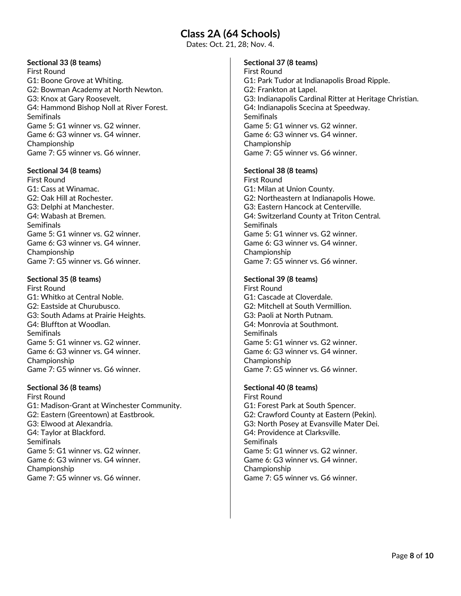## **Class 2A (64 Schools)**

Dates: Oct. 21, 28; Nov. 4.

## **Sectional 33 (8 teams)**

First Round G1: Boone Grove at Whiting. G2: Bowman Academy at North Newton. G3: Knox at Gary Roosevelt. G4: Hammond Bishop Noll at River Forest. Semifinals Game 5: G1 winner vs. G2 winner. Game 6: G3 winner vs. G4 winner. Championship Game 7: G5 winner vs. G6 winner.

### **Sectional 34 (8 teams)**

First Round G1: Cass at Winamac. G2: Oak Hill at Rochester. G3: Delphi at Manchester. G4: Wabash at Bremen. **Semifinals** Game 5: G1 winner vs. G2 winner. Game 6: G3 winner vs. G4 winner. Championship Game 7: G5 winner vs. G6 winner.

## **Sectional 35 (8 teams)**

First Round G1: Whitko at Central Noble. G2: Eastside at Churubusco. G3: South Adams at Prairie Heights. G4: Bluffton at Woodlan. **Semifinals** Game 5: G1 winner vs. G2 winner. Game 6: G3 winner vs. G4 winner. Championship Game 7: G5 winner vs. G6 winner.

## **Sectional 36 (8 teams)**

First Round G1: Madison‐Grant at Winchester Community. G2: Eastern (Greentown) at Eastbrook. G3: Elwood at Alexandria. G4: Taylor at Blackford. **Semifinals** Game 5: G1 winner vs. G2 winner. Game 6: G3 winner vs. G4 winner. Championship Game 7: G5 winner vs. G6 winner.

## **Sectional 37 (8 teams)**

First Round G1: Park Tudor at Indianapolis Broad Ripple. G2: Frankton at Lapel. G3: Indianapolis Cardinal Ritter at Heritage Christian. G4: Indianapolis Scecina at Speedway. Semifinals Game 5: G1 winner vs. G2 winner. Game 6: G3 winner vs. G4 winner. Championship Game 7: G5 winner vs. G6 winner.

### **Sectional 38 (8 teams)**

First Round G1: Milan at Union County. G2: Northeastern at Indianapolis Howe. G3: Eastern Hancock at Centerville. G4: Switzerland County at Triton Central. **Semifinals** Game 5: G1 winner vs. G2 winner. Game 6: G3 winner vs. G4 winner. Championship Game 7: G5 winner vs. G6 winner.

## **Sectional 39 (8 teams)**

First Round G1: Cascade at Cloverdale. G2: Mitchell at South Vermillion. G3: Paoli at North Putnam. G4: Monrovia at Southmont. **Semifinals** Game 5: G1 winner vs. G2 winner. Game 6: G3 winner vs. G4 winner. Championship Game 7: G5 winner vs. G6 winner.

## **Sectional 40 (8 teams)**

First Round G1: Forest Park at South Spencer. G2: Crawford County at Eastern (Pekin). G3: North Posey at Evansville Mater Dei. G4: Providence at Clarksville. **Semifinals** Game 5: G1 winner vs. G2 winner. Game 6: G3 winner vs. G4 winner. Championship Game 7: G5 winner vs. G6 winner.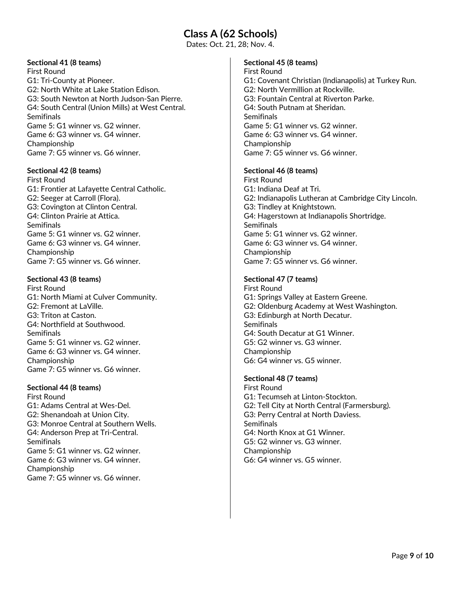## **Class A (62 Schools)**

Dates: Oct. 21, 28; Nov. 4.

## **Sectional 41 (8 teams)**

First Round G1: Tri‐County at Pioneer. G2: North White at Lake Station Edison. G3: South Newton at North Judson‐San Pierre. G4: South Central (Union Mills) at West Central. Semifinals Game 5: G1 winner vs. G2 winner. Game 6: G3 winner vs. G4 winner. Championship Game 7: G5 winner vs. G6 winner.

### **Sectional 42 (8 teams)**

First Round G1: Frontier at Lafayette Central Catholic. G2: Seeger at Carroll (Flora). G3: Covington at Clinton Central. G4: Clinton Prairie at Attica. **Semifinals** Game 5: G1 winner vs. G2 winner. Game 6: G3 winner vs. G4 winner. Championship Game 7: G5 winner vs. G6 winner.

### **Sectional 43 (8 teams)**

First Round G1: North Miami at Culver Community. G2: Fremont at LaVille. G3: Triton at Caston. G4: Northfield at Southwood. **Semifinals** Game 5: G1 winner vs. G2 winner. Game 6: G3 winner vs. G4 winner. Championship Game 7: G5 winner vs. G6 winner.

### **Sectional 44 (8 teams)**

First Round G1: Adams Central at Wes‐Del. G2: Shenandoah at Union City. G3: Monroe Central at Southern Wells. G4: Anderson Prep at Tri‐Central. **Semifinals** Game 5: G1 winner vs. G2 winner. Game 6: G3 winner vs. G4 winner. Championship Game 7: G5 winner vs. G6 winner.

### **Sectional 45 (8 teams)**

First Round G1: Covenant Christian (Indianapolis) at Turkey Run. G2: North Vermillion at Rockville. G3: Fountain Central at Riverton Parke. G4: South Putnam at Sheridan. **Semifinals** Game 5: G1 winner vs. G2 winner. Game 6: G3 winner vs. G4 winner. Championship Game 7: G5 winner vs. G6 winner.

#### **Sectional 46 (8 teams)**

First Round G1: Indiana Deaf at Tri. G2: Indianapolis Lutheran at Cambridge City Lincoln. G3: Tindley at Knightstown. G4: Hagerstown at Indianapolis Shortridge. **Semifinals** Game 5: G1 winner vs. G2 winner. Game 6: G3 winner vs. G4 winner. Championship Game 7: G5 winner vs. G6 winner.

### **Sectional 47 (7 teams)**

First Round G1: Springs Valley at Eastern Greene. G2: Oldenburg Academy at West Washington. G3: Edinburgh at North Decatur. **Semifinals** G4: South Decatur at G1 Winner. G5: G2 winner vs. G3 winner. Championship G6: G4 winner vs. G5 winner.

### **Sectional 48 (7 teams)**

First Round G1: Tecumseh at Linton‐Stockton. G2: Tell City at North Central (Farmersburg). G3: Perry Central at North Daviess. **Semifinals** G4: North Knox at G1 Winner. G5: G2 winner vs. G3 winner. Championship G6: G4 winner vs. G5 winner.